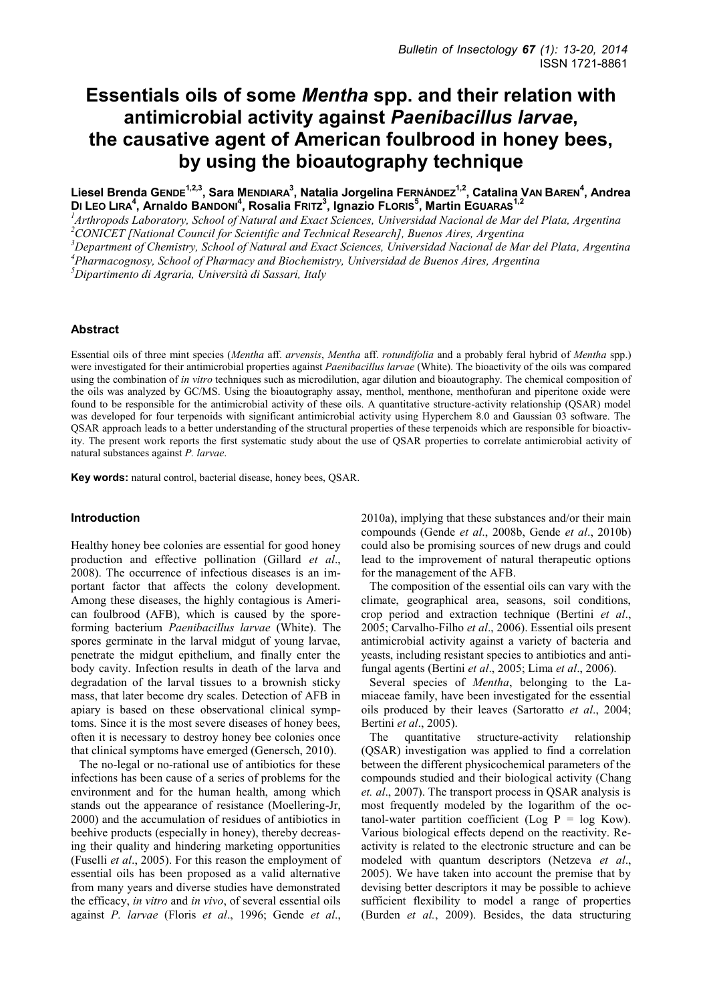# **Essentials oils of some** *Mentha* **spp. and their relation with antimicrobial activity against** *Paenibacillus larvae***, the causative agent of American foulbrood in honey bees, by using the bioautography technique**

**Liesel Brenda GENDE1,2,3, Sara MENDIARA<sup>3</sup> , Natalia Jorgelina FERNÁNDEZ1,2, Catalina VAN BAREN<sup>4</sup> , Andrea DI LEO LIRA<sup>4</sup> , Arnaldo BANDONI<sup>4</sup> , Rosalia FRITZ<sup>3</sup> , Ignazio FLORIS<sup>5</sup> , Martin EGUARAS1,2**

*<sup>1</sup>Arthropods Laboratory, School of Natural and Exact Sciences, Universidad Nacional de Mar del Plata, Argentina <sup>2</sup>CONICET [National Council for Scientific and Technical Research], Buenos Aires, Argentina* 

*<sup>3</sup>Department of Chemistry, School of Natural and Exact Sciences, Universidad Nacional de Mar del Plata, Argentina <sup>4</sup>Pharmacognosy, School of Pharmacy and Biochemistry, Universidad de Buenos Aires, Argentina* 

*<sup>5</sup>Dipartimento di Agraria, Università di Sassari, Italy* 

# **Abstract**

Essential oils of three mint species (*Mentha* aff. *arvensis*, *Mentha* aff. *rotundifolia* and a probably feral hybrid of *Mentha* spp.) were investigated for their antimicrobial properties against *Paenibacillus larvae* (White). The bioactivity of the oils was compared using the combination of *in vitro* techniques such as microdilution, agar dilution and bioautography. The chemical composition of the oils was analyzed by GC/MS. Using the bioautography assay, menthol, menthone, menthofuran and piperitone oxide were found to be responsible for the antimicrobial activity of these oils. A quantitative structure-activity relationship (QSAR) model was developed for four terpenoids with significant antimicrobial activity using Hyperchem 8.0 and Gaussian 03 software. The QSAR approach leads to a better understanding of the structural properties of these terpenoids which are responsible for bioactivity. The present work reports the first systematic study about the use of QSAR properties to correlate antimicrobial activity of natural substances against *P. larvae*.

**Key words:** natural control, bacterial disease, honey bees, QSAR.

## **Introduction**

Healthy honey bee colonies are essential for good honey production and effective pollination (Gillard *et al*., 2008). The occurrence of infectious diseases is an important factor that affects the colony development. Among these diseases, the highly contagious is American foulbrood (AFB), which is caused by the sporeforming bacterium *Paenibacillus larvae* (White). The spores germinate in the larval midgut of young larvae, penetrate the midgut epithelium, and finally enter the body cavity. Infection results in death of the larva and degradation of the larval tissues to a brownish sticky mass, that later become dry scales. Detection of AFB in apiary is based on these observational clinical symptoms. Since it is the most severe diseases of honey bees, often it is necessary to destroy honey bee colonies once that clinical symptoms have emerged (Genersch, 2010).

The no-legal or no-rational use of antibiotics for these infections has been cause of a series of problems for the environment and for the human health, among which stands out the appearance of resistance (Moellering-Jr, 2000) and the accumulation of residues of antibiotics in beehive products (especially in honey), thereby decreasing their quality and hindering marketing opportunities (Fuselli *et al*., 2005). For this reason the employment of essential oils has been proposed as a valid alternative from many years and diverse studies have demonstrated the efficacy, *in vitro* and *in vivo*, of several essential oils against *P. larvae* (Floris *et al*., 1996; Gende *et al*.,

2010a), implying that these substances and/or their main compounds (Gende *et al*., 2008b, Gende *et al*., 2010b) could also be promising sources of new drugs and could lead to the improvement of natural therapeutic options for the management of the AFB.

The composition of the essential oils can vary with the climate, geographical area, seasons, soil conditions, crop period and extraction technique (Bertini *et al*., 2005; Carvalho-Filho *et al*., 2006). Essential oils present antimicrobial activity against a variety of bacteria and yeasts, including resistant species to antibiotics and antifungal agents (Bertini *et al*., 2005; Lima *et al*., 2006).

Several species of *Mentha*, belonging to the Lamiaceae family, have been investigated for the essential oils produced by their leaves (Sartoratto *et al*., 2004; Bertini *et al*., 2005).

The quantitative structure-activity relationship (QSAR) investigation was applied to find a correlation between the different physicochemical parameters of the compounds studied and their biological activity (Chang *et. al*., 2007). The transport process in QSAR analysis is most frequently modeled by the logarithm of the octanol-water partition coefficient (Log  $P = log Kow$ ). Various biological effects depend on the reactivity. Reactivity is related to the electronic structure and can be modeled with quantum descriptors (Netzeva *et al*., 2005). We have taken into account the premise that by devising better descriptors it may be possible to achieve sufficient flexibility to model a range of properties (Burden *et al.*, 2009). Besides, the data structuring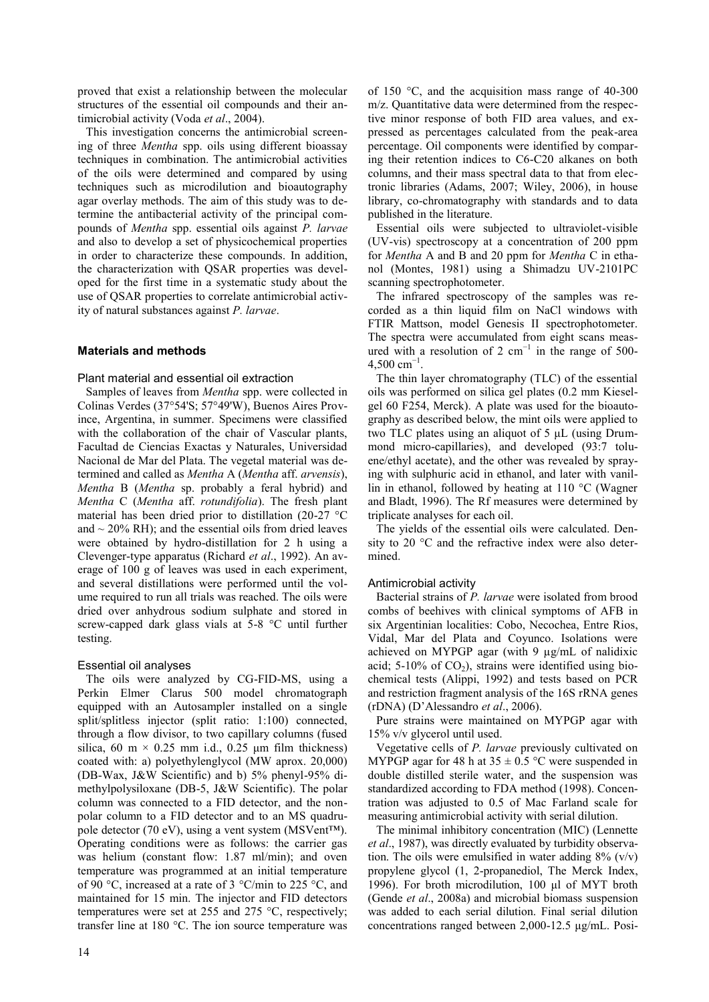proved that exist a relationship between the molecular structures of the essential oil compounds and their antimicrobial activity (Voda *et al*., 2004).

This investigation concerns the antimicrobial screening of three *Mentha* spp. oils using different bioassay techniques in combination. The antimicrobial activities of the oils were determined and compared by using techniques such as microdilution and bioautography agar overlay methods. The aim of this study was to determine the antibacterial activity of the principal compounds of *Mentha* spp. essential oils against *P. larvae* and also to develop a set of physicochemical properties in order to characterize these compounds. In addition, the characterization with QSAR properties was developed for the first time in a systematic study about the use of QSAR properties to correlate antimicrobial activity of natural substances against *P. larvae*.

# **Materials and methods**

## Plant material and essential oil extraction

Samples of leaves from *Mentha* spp. were collected in Colinas Verdes (37°54'S; 57°49'W), Buenos Aires Province, Argentina, in summer. Specimens were classified with the collaboration of the chair of Vascular plants, Facultad de Ciencias Exactas y Naturales, Universidad Nacional de Mar del Plata. The vegetal material was determined and called as *Mentha* A (*Mentha* aff. *arvensis*), *Mentha* B (*Mentha* sp. probably a feral hybrid) and *Mentha* C (*Mentha* aff. *rotundifolia*). The fresh plant material has been dried prior to distillation (20-27 °C and  $\sim$  20% RH); and the essential oils from dried leaves were obtained by hydro-distillation for 2 h using a Clevenger-type apparatus (Richard *et al*., 1992). An average of 100 g of leaves was used in each experiment, and several distillations were performed until the volume required to run all trials was reached. The oils were dried over anhydrous sodium sulphate and stored in screw-capped dark glass vials at 5-8 °C until further testing.

# Essential oil analyses

The oils were analyzed by CG-FID-MS, using a Perkin Elmer Clarus 500 model chromatograph equipped with an Autosampler installed on a single split/splitless injector (split ratio: 1:100) connected, through a flow divisor, to two capillary columns (fused silica, 60 m  $\times$  0.25 mm i.d., 0.25 μm film thickness) coated with: a) polyethylenglycol (MW aprox. 20,000) (DB-Wax, J&W Scientific) and b) 5% phenyl-95% dimethylpolysiloxane (DB-5, J&W Scientific). The polar column was connected to a FID detector, and the nonpolar column to a FID detector and to an MS quadrupole detector (70 eV), using a vent system (MSVent™). Operating conditions were as follows: the carrier gas was helium (constant flow: 1.87 ml/min); and oven temperature was programmed at an initial temperature of 90 °C, increased at a rate of 3 °C/min to 225 °C, and maintained for 15 min. The injector and FID detectors temperatures were set at 255 and 275 °C, respectively; transfer line at 180 °C. The ion source temperature was of 150 °C, and the acquisition mass range of 40-300 m/z. Quantitative data were determined from the respective minor response of both FID area values, and expressed as percentages calculated from the peak-area percentage. Oil components were identified by comparing their retention indices to C6-C20 alkanes on both columns, and their mass spectral data to that from electronic libraries (Adams, 2007; Wiley, 2006), in house library, co-chromatography with standards and to data published in the literature.

Essential oils were subjected to ultraviolet-visible (UV-vis) spectroscopy at a concentration of 200 ppm for *Mentha* A and B and 20 ppm for *Mentha* C in ethanol (Montes, 1981) using a Shimadzu UV-2101PC scanning spectrophotometer.

The infrared spectroscopy of the samples was recorded as a thin liquid film on NaCl windows with FTIR Mattson, model Genesis II spectrophotometer. The spectra were accumulated from eight scans measured with a resolution of 2  $cm^{-1}$  in the range of 500- $4,500$  cm<sup>-1</sup>.

The thin layer chromatography (TLC) of the essential oils was performed on silica gel plates (0.2 mm Kieselgel 60 F254, Merck). A plate was used for the bioautography as described below, the mint oils were applied to two TLC plates using an aliquot of 5 μL (using Drummond micro-capillaries), and developed (93:7 toluene/ethyl acetate), and the other was revealed by spraying with sulphuric acid in ethanol, and later with vanillin in ethanol, followed by heating at 110 °C (Wagner and Bladt, 1996). The Rf measures were determined by triplicate analyses for each oil.

The yields of the essential oils were calculated. Density to 20 °C and the refractive index were also determined.

# Antimicrobial activity

Bacterial strains of *P. larvae* were isolated from brood combs of beehives with clinical symptoms of AFB in six Argentinian localities: Cobo, Necochea, Entre Rios, Vidal, Mar del Plata and Coyunco. Isolations were achieved on MYPGP agar (with 9 µg/mL of nalidixic acid; 5-10% of  $CO<sub>2</sub>$ ), strains were identified using biochemical tests (Alippi, 1992) and tests based on PCR and restriction fragment analysis of the 16S rRNA genes (rDNA) (D'Alessandro *et al*., 2006).

Pure strains were maintained on MYPGP agar with 15% v/v glycerol until used.

Vegetative cells of *P. larvae* previously cultivated on MYPGP agar for 48 h at  $35 \pm 0.5$  °C were suspended in double distilled sterile water, and the suspension was standardized according to FDA method (1998). Concentration was adjusted to 0.5 of Mac Farland scale for measuring antimicrobial activity with serial dilution.

The minimal inhibitory concentration (MIC) (Lennette *et al*., 1987), was directly evaluated by turbidity observation. The oils were emulsified in water adding  $8\%$  (v/v) propylene glycol (1, 2-propanediol, The Merck Index, 1996). For broth microdilution, 100 μl of MYT broth (Gende *et al*., 2008a) and microbial biomass suspension was added to each serial dilution. Final serial dilution concentrations ranged between 2,000-12.5 μg/mL. Posi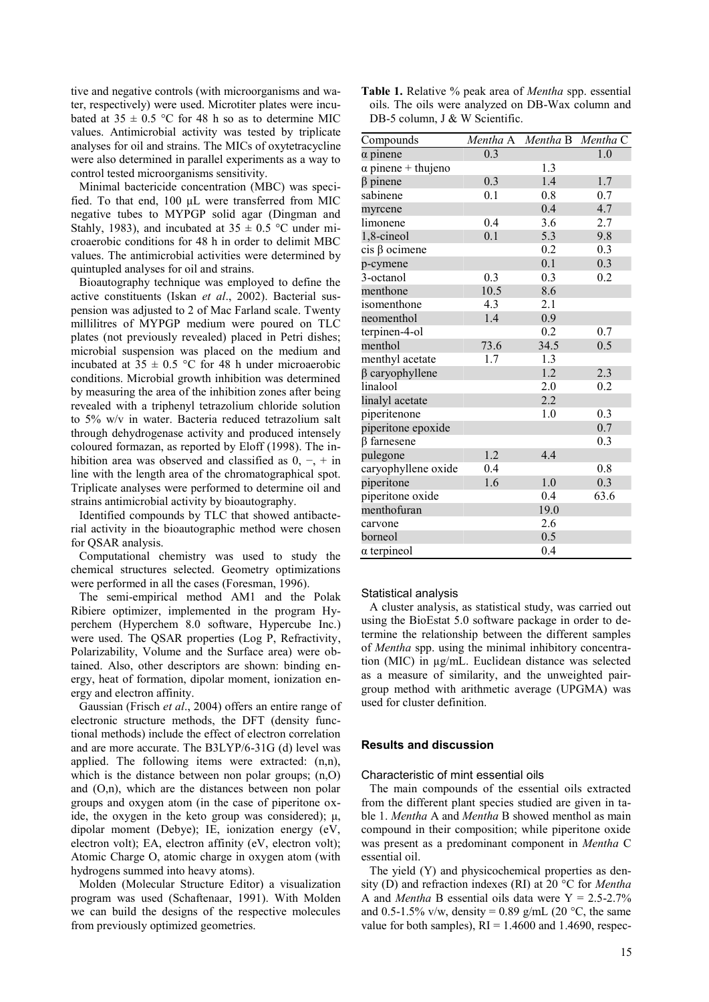tive and negative controls (with microorganisms and water, respectively) were used. Microtiter plates were incubated at  $35 \pm 0.5$  °C for 48 h so as to determine MIC values. Antimicrobial activity was tested by triplicate analyses for oil and strains. The MICs of oxytetracycline were also determined in parallel experiments as a way to control tested microorganisms sensitivity.

Minimal bactericide concentration (MBC) was specified. To that end, 100 μL were transferred from MIC negative tubes to MYPGP solid agar (Dingman and Stahly, 1983), and incubated at  $35 \pm 0.5$  °C under microaerobic conditions for 48 h in order to delimit MBC values. The antimicrobial activities were determined by quintupled analyses for oil and strains.

Bioautography technique was employed to define the active constituents (Iskan *et al*., 2002). Bacterial suspension was adjusted to 2 of Mac Farland scale. Twenty millilitres of MYPGP medium were poured on TLC plates (not previously revealed) placed in Petri dishes; microbial suspension was placed on the medium and incubated at  $35 \pm 0.5$  °C for 48 h under microaerobic conditions. Microbial growth inhibition was determined by measuring the area of the inhibition zones after being revealed with a triphenyl tetrazolium chloride solution to 5% w/v in water. Bacteria reduced tetrazolium salt through dehydrogenase activity and produced intensely coloured formazan, as reported by Eloff (1998). The inhibition area was observed and classified as  $0, -$ , + in line with the length area of the chromatographical spot. Triplicate analyses were performed to determine oil and strains antimicrobial activity by bioautography.

Identified compounds by TLC that showed antibacterial activity in the bioautographic method were chosen for QSAR analysis.

Computational chemistry was used to study the chemical structures selected. Geometry optimizations were performed in all the cases (Foresman, 1996).

The semi-empirical method AM1 and the Polak Ribiere optimizer, implemented in the program Hyperchem (Hyperchem 8.0 software, Hypercube Inc.) were used. The QSAR properties (Log P, Refractivity, Polarizability, Volume and the Surface area) were obtained. Also, other descriptors are shown: binding energy, heat of formation, dipolar moment, ionization energy and electron affinity.

Gaussian (Frisch *et al*., 2004) offers an entire range of electronic structure methods, the DFT (density functional methods) include the effect of electron correlation and are more accurate. The B3LYP/6-31G (d) level was applied. The following items were extracted: (n,n), which is the distance between non polar groups; (n,O) and (O,n), which are the distances between non polar groups and oxygen atom (in the case of piperitone oxide, the oxygen in the keto group was considered); μ, dipolar moment (Debye); IE, ionization energy (eV, electron volt); EA, electron affinity (eV, electron volt); Atomic Charge O, atomic charge in oxygen atom (with hydrogens summed into heavy atoms).

Molden (Molecular Structure Editor) a visualization program was used (Schaftenaar, 1991). With Molden we can build the designs of the respective molecules from previously optimized geometries.

**Table 1.** Relative % peak area of *Mentha* spp. essential oils. The oils were analyzed on DB-Wax column and DB-5 column, J & W Scientific.

| Compounds                 |      | Mentha A Mentha B Mentha C |      |
|---------------------------|------|----------------------------|------|
| $\alpha$ pinene           | 0.3  |                            | 1.0  |
| $\alpha$ pinene + thujeno |      | 1.3                        |      |
| $\beta$ pinene            | 0.3  | 1.4                        | 1.7  |
| sabinene                  | 0.1  | 0.8                        | 0.7  |
| myrcene                   |      | 0.4                        | 4.7  |
| limonene                  | 0.4  | 3.6                        | 2.7  |
| 1,8-cineol                | 0.1  | 5.3                        | 9.8  |
| $cis \beta$ ocimene       |      | 0.2                        | 0.3  |
| p-cymene                  |      | 0.1                        | 0.3  |
| 3-octanol                 | 0.3  | 0.3                        | 0.2  |
| menthone                  | 10.5 | 8.6                        |      |
| isomenthone               | 4.3  | 2.1                        |      |
| neomenthol                | 1.4  | 0.9                        |      |
| terpinen-4-ol             |      | 0.2                        | 0.7  |
| menthol                   | 73.6 | 34.5                       | 0.5  |
| menthyl acetate           | 1.7  | 1.3                        |      |
| $\beta$ caryophyllene     |      | 1.2                        | 2.3  |
| linalool                  |      | 2.0                        | 0.2  |
| linalyl acetate           |      | 2.2                        |      |
| piperitenone              |      | 1.0                        | 0.3  |
| piperitone epoxide        |      |                            | 0.7  |
| $\beta$ farnesene         |      |                            | 0.3  |
| pulegone                  | 1.2  | 4.4                        |      |
| caryophyllene oxide       | 0.4  |                            | 0.8  |
| piperitone                | 1.6  | 1.0                        | 0.3  |
| piperitone oxide          |      | 0.4                        | 63.6 |
| menthofuran               |      | 19.0                       |      |
| carvone                   |      | 2.6                        |      |
| borneol                   |      | 0.5                        |      |
| $\alpha$ terpineol        |      | 0.4                        |      |

#### Statistical analysis

A cluster analysis, as statistical study, was carried out using the BioEstat 5.0 software package in order to determine the relationship between the different samples of *Mentha* spp. using the minimal inhibitory concentration (MIC) in µg/mL. Euclidean distance was selected as a measure of similarity, and the unweighted pairgroup method with arithmetic average (UPGMA) was used for cluster definition.

#### **Results and discussion**

#### Characteristic of mint essential oils

The main compounds of the essential oils extracted from the different plant species studied are given in table 1. *Mentha* A and *Mentha* B showed menthol as main compound in their composition; while piperitone oxide was present as a predominant component in *Mentha* C essential oil.

The yield (Y) and physicochemical properties as density (D) and refraction indexes (RI) at 20 °C for *Mentha* A and *Mentha* B essential oils data were  $Y = 2.5 - 2.7\%$ and 0.5-1.5% v/w, density = 0.89 g/mL (20 °C, the same value for both samples),  $RI = 1.4600$  and 1.4690, respec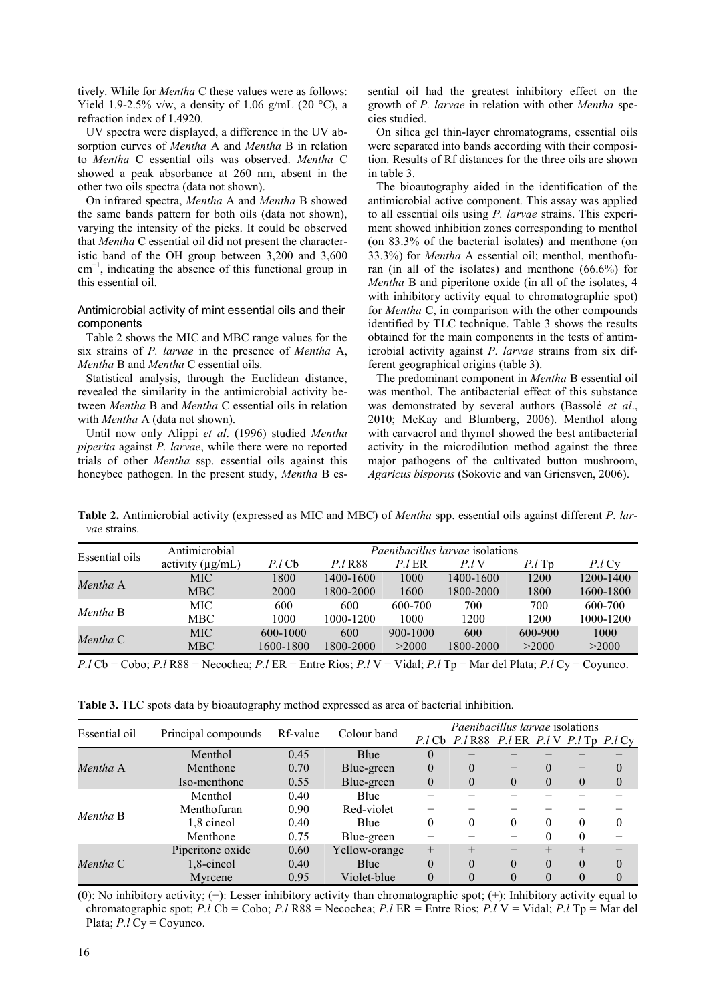tively. While for *Mentha* C these values were as follows: Yield 1.9-2.5% v/w, a density of 1.06 g/mL (20  $^{\circ}$ C), a refraction index of 1.4920.

UV spectra were displayed, a difference in the UV absorption curves of *Mentha* A and *Mentha* B in relation to *Mentha* C essential oils was observed. *Mentha* C showed a peak absorbance at 260 nm, absent in the other two oils spectra (data not shown).

On infrared spectra, *Mentha* A and *Mentha* B showed the same bands pattern for both oils (data not shown), varying the intensity of the picks. It could be observed that *Mentha* C essential oil did not present the characteristic band of the OH group between 3,200 and 3,600 cm<sup>−</sup><sup>1</sup> , indicating the absence of this functional group in this essential oil.

# Antimicrobial activity of mint essential oils and their components

Table 2 shows the MIC and MBC range values for the six strains of *P. larvae* in the presence of *Mentha* A, *Mentha* B and *Mentha* C essential oils.

Statistical analysis, through the Euclidean distance, revealed the similarity in the antimicrobial activity between *Mentha* B and *Mentha* C essential oils in relation with *Mentha* A (data not shown).

Until now only Alippi *et al*. (1996) studied *Mentha piperita* against *P. larvae*, while there were no reported trials of other *Mentha* ssp. essential oils against this honeybee pathogen. In the present study, *Mentha* B es-

sential oil had the greatest inhibitory effect on the growth of *P. larvae* in relation with other *Mentha* species studied.

On silica gel thin-layer chromatograms, essential oils were separated into bands according with their composition. Results of Rf distances for the three oils are shown in table 3.

The bioautography aided in the identification of the antimicrobial active component. This assay was applied to all essential oils using *P. larvae* strains. This experiment showed inhibition zones corresponding to menthol (on 83.3% of the bacterial isolates) and menthone (on 33.3%) for *Mentha* A essential oil; menthol, menthofuran (in all of the isolates) and menthone (66.6%) for *Mentha* B and piperitone oxide (in all of the isolates, 4 with inhibitory activity equal to chromatographic spot) for *Mentha* C, in comparison with the other compounds identified by TLC technique. Table 3 shows the results obtained for the main components in the tests of antimicrobial activity against *P. larvae* strains from six different geographical origins (table 3).

The predominant component in *Mentha* B essential oil was menthol. The antibacterial effect of this substance was demonstrated by several authors (Bassolé *et al*., 2010; McKay and Blumberg, 2006). Menthol along with carvacrol and thymol showed the best antibacterial activity in the microdilution method against the three major pathogens of the cultivated button mushroom, *Agaricus bisporus* (Sokovic and van Griensven, 2006).

**Table 2.** Antimicrobial activity (expressed as MIC and MBC) of *Mentha* spp. essential oils against different *P. larvae* strains.

| Essential oils | Antimicrobial         | <i>Paenibacillus larvae</i> isolations |                |              |           |                |           |  |
|----------------|-----------------------|----------------------------------------|----------------|--------------|-----------|----------------|-----------|--|
|                | activity $(\mu g/mL)$ | $P$ .l Cb                              | <i>P.I</i> R88 | P.I ER       | P.IV      | $P \cdot l$ Tp | P.l Cy    |  |
| Mentha A       | MIC                   | 1800                                   | 1400-1600      | 1000         | 1400-1600 | 1200           | 1200-1400 |  |
|                | <b>MBC</b>            | <b>2000</b>                            | 1800-2000      | 1600         | 1800-2000 | 1800           | 1600-1800 |  |
| Mentha B       | MIC-                  | 600                                    | 600            | 600-700      | 700       | 700            | 600-700   |  |
|                | MBC.                  | 1000                                   | 1000-1200      | 1000         | 1200      | 1200           | 1000-1200 |  |
| Mentha C       | MIC.                  | 600-1000                               | 600            | $900 - 1000$ | 600       | 600-900        | 1000      |  |
|                | <b>MBC</b>            | 1600-1800                              | 1800-2000      | >2000        | 1800-2000 | >2000          | >2000     |  |

*P.l* Cb = Cobo; *P.l* R88 = Necochea; *P.l* ER = Entre Rios; *P.l* V = Vidal; *P.l* Tp = Mar del Plata; *P.l* Cy = Coyunco.

| Table 3. TLC spots data by bioautography method expressed as area of bacterial inhibition. |  |
|--------------------------------------------------------------------------------------------|--|
|--------------------------------------------------------------------------------------------|--|

| Essential oil |                     |          |               |          | Paenibacillus larvae isolations              |          |          |          |                |
|---------------|---------------------|----------|---------------|----------|----------------------------------------------|----------|----------|----------|----------------|
|               | Principal compounds | Rf-value | Colour band   | P.I Cb   | $P.l R88$ $P.l ER$ $P.l V$ $P.l Tp$ $P.l Cy$ |          |          |          |                |
|               | Menthol             | 0.45     | Blue          | 0        |                                              |          |          |          |                |
| Mentha A      | Menthone            | 0.70     | Blue-green    | $\Omega$ | $\theta$                                     |          | $\theta$ |          | $\theta$       |
|               | Iso-menthone        | 0.55     | Blue-green    | $\Omega$ | $\theta$                                     | $\theta$ | $\theta$ | $\Omega$ | $\overline{0}$ |
|               | Menthol             | 0.40     | Blue          |          |                                              |          |          |          |                |
| Mentha B      | Menthofuran         | 0.90     | Red-violet    |          |                                              |          |          |          |                |
|               | 1,8 cineol          | 0.40     | Blue          | 0        | $\theta$                                     | $\theta$ | 0        | 0        | 0              |
|               | Menthone            | 0.75     | Blue-green    |          |                                              |          | $\theta$ | $\Omega$ |                |
| Mentha C      | Piperitone oxide    | 0.60     | Yellow-orange | $^{+}$   | $+$                                          |          |          | $^{+}$   |                |
|               | 1,8-cineol          | 0.40     | Blue          | $\theta$ | $\theta$                                     | $\theta$ | $\theta$ | $\theta$ | $\theta$       |
|               | Myrcene             | 0.95     | Violet-blue   | 0        | $\Omega$                                     | $\theta$ | $\theta$ |          | 0              |

(0): No inhibitory activity; (−): Lesser inhibitory activity than chromatographic spot; (+): Inhibitory activity equal to chromatographic spot; *P.l* Cb = Cobo; *P.l* R88 = Necochea; *P.l* ER = Entre Rios; *P.l* V = Vidal; *P.l* Tp = Mar del Plata; *P.l* Cy = Coyunco.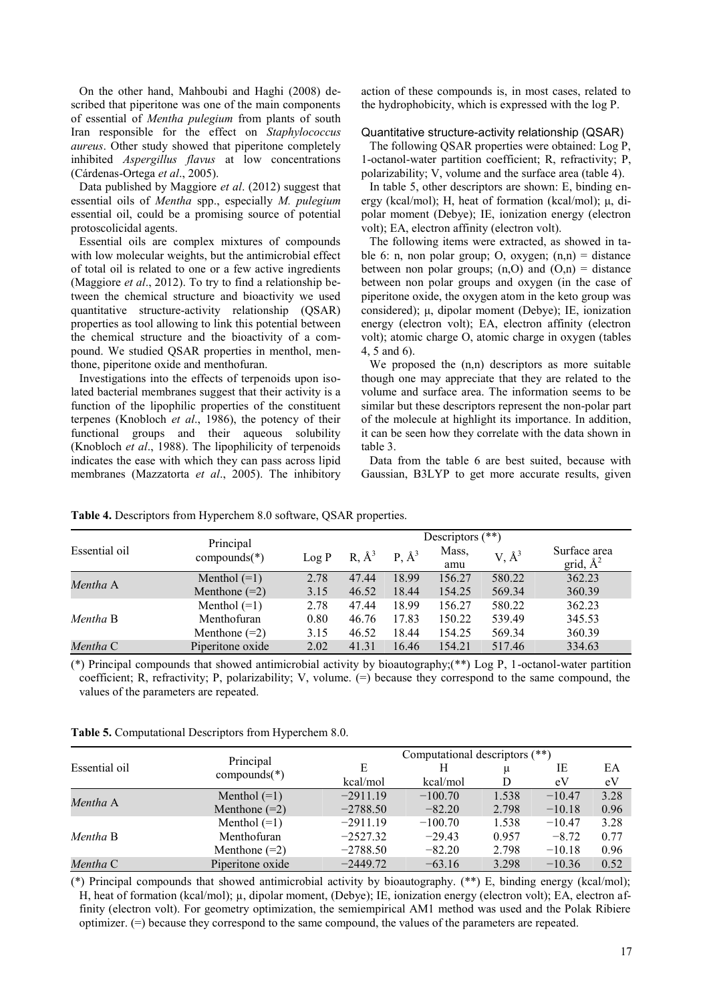On the other hand, Mahboubi and Haghi (2008) described that piperitone was one of the main components of essential of *Mentha pulegium* from plants of south Iran responsible for the effect on *Staphylococcus aureus*. Other study showed that piperitone completely inhibited *Aspergillus flavus* at low concentrations (Cárdenas-Ortega *et al*., 2005).

Data published by Maggiore *et al*. (2012) suggest that essential oils of *Mentha* spp., especially *M. pulegium* essential oil, could be a promising source of potential protoscolicidal agents.

Essential oils are complex mixtures of compounds with low molecular weights, but the antimicrobial effect of total oil is related to one or a few active ingredients (Maggiore *et al*., 2012). To try to find a relationship between the chemical structure and bioactivity we used quantitative structure-activity relationship (QSAR) properties as tool allowing to link this potential between the chemical structure and the bioactivity of a compound. We studied QSAR properties in menthol, menthone, piperitone oxide and menthofuran.

Investigations into the effects of terpenoids upon isolated bacterial membranes suggest that their activity is a function of the lipophilic properties of the constituent terpenes (Knobloch *et al*., 1986), the potency of their functional groups and their aqueous solubility (Knobloch *et al*., 1988). The lipophilicity of terpenoids indicates the ease with which they can pass across lipid membranes (Mazzatorta *et al*., 2005). The inhibitory action of these compounds is, in most cases, related to the hydrophobicity, which is expressed with the log P.

# Quantitative structure-activity relationship (QSAR)

The following QSAR properties were obtained: Log P, 1-octanol-water partition coefficient; R, refractivity; P, polarizability; V, volume and the surface area (table 4).

In table 5, other descriptors are shown: E, binding energy (kcal/mol); H, heat of formation (kcal/mol); μ, dipolar moment (Debye); IE, ionization energy (electron volt); EA, electron affinity (electron volt).

The following items were extracted, as showed in table 6: n, non polar group; O, oxygen;  $(n,n)$  = distance between non polar groups;  $(n,0)$  and  $(0,n)$  = distance between non polar groups and oxygen (in the case of piperitone oxide, the oxygen atom in the keto group was considered); μ, dipolar moment (Debye); IE, ionization energy (electron volt); EA, electron affinity (electron volt); atomic charge O, atomic charge in oxygen (tables 4, 5 and 6).

We proposed the  $(n,n)$  descriptors as more suitable though one may appreciate that they are related to the volume and surface area. The information seems to be similar but these descriptors represent the non-polar part of the molecule at highlight its importance. In addition, it can be seen how they correlate with the data shown in table 3.

Data from the table 6 are best suited, because with Gaussian, B3LYP to get more accurate results, given

|               |                             |       | Descriptors $(**)$ |                     |              |            |                             |  |  |  |
|---------------|-----------------------------|-------|--------------------|---------------------|--------------|------------|-----------------------------|--|--|--|
| Essential oil | Principal<br>$compounds(*)$ | Log P | $R, \AA^3$         | $P, \mathring{A}^3$ | Mass,<br>amu | $V, \AA^3$ | Surface area<br>grid, $A^2$ |  |  |  |
| Mentha A      | Menthol $(=1)$              | 2.78  | 47.44              | 18.99               | 156.27       | 580.22     | 362.23                      |  |  |  |
|               | Menthone $(=2)$             | 3.15  | 46.52              | 18.44               | 154.25       | 569.34     | 360.39                      |  |  |  |
| Mentha B      | Menthol $(=1)$              | 2.78  | 47.44              | 18.99               | 156.27       | 580.22     | 362.23                      |  |  |  |
|               | Menthofuran                 | 0.80  | 46.76              | 17.83               | 150.22       | 539.49     | 345.53                      |  |  |  |
|               | Menthone $(=2)$             | 3.15  | 46.52              | 18.44               | 154.25       | 569.34     | 360.39                      |  |  |  |
| Mentha C      | Piperitone oxide            | 2.02  | 41.31              | 16.46               | 154.21       | 517.46     | 334.63                      |  |  |  |

**Table 4.** Descriptors from Hyperchem 8.0 software, QSAR properties.

(\*) Principal compounds that showed antimicrobial activity by bioautography;(\*\*) Log P, 1-octanol-water partition coefficient; R, refractivity; P, polarizability; V, volume. (=) because they correspond to the same compound, the values of the parameters are repeated.

| <b>Table 5.</b> Computational Descriptors from Hyperchem 8.0. |  |  |
|---------------------------------------------------------------|--|--|
|                                                               |  |  |

|               |                  |            | Computational descriptors (**) |       |          |      |  |  |  |
|---------------|------------------|------------|--------------------------------|-------|----------|------|--|--|--|
| Essential oil | Principal        | E          | H                              | μ     | IE       | EΑ   |  |  |  |
|               | compounds $(*)$  | kcal/mol   | kcal/mol                       | D     | eV       | eV   |  |  |  |
| Mentha A      | Menthol $(=1)$   | $-2911.19$ | $-100.70$                      | 1.538 | $-10.47$ | 3.28 |  |  |  |
|               | Menthone $(=2)$  | $-2788.50$ | $-82.20$                       | 2.798 | $-10.18$ | 0.96 |  |  |  |
|               | Menthol $(=1)$   | $-2911.19$ | $-100.70$                      | 1.538 | $-10.47$ | 3.28 |  |  |  |
| Mentha B      | Menthofuran      | $-2527.32$ | $-29.43$                       | 0.957 | $-8.72$  | 0.77 |  |  |  |
|               | Menthone $(=2)$  | $-2788.50$ | $-82.20$                       | 2.798 | $-10.18$ | 0.96 |  |  |  |
| Mentha C      | Piperitone oxide | $-2449.72$ | $-63.16$                       | 3.298 | $-10.36$ | 0.52 |  |  |  |

(\*) Principal compounds that showed antimicrobial activity by bioautography. (\*\*) E, binding energy (kcal/mol); H, heat of formation (kcal/mol); µ, dipolar moment, (Debye); IE, ionization energy (electron volt); EA, electron affinity (electron volt). For geometry optimization, the semiempirical AM1 method was used and the Polak Ribiere optimizer. (=) because they correspond to the same compound, the values of the parameters are repeated.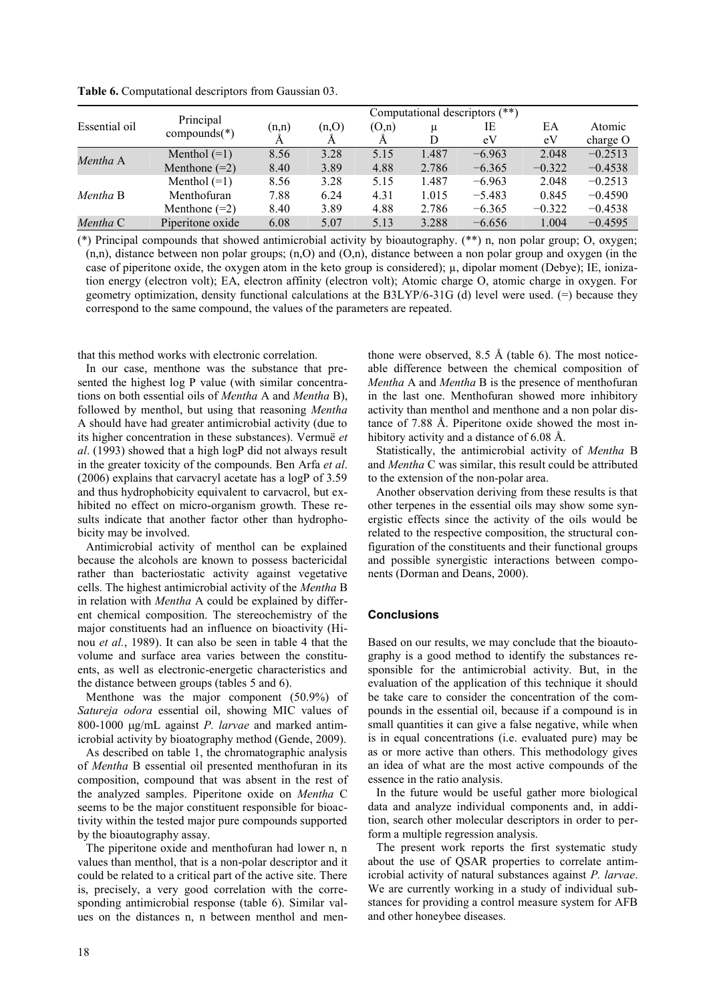|               | Principal        |       | Computational descriptors (**) |       |       |          |          |                                                                             |  |
|---------------|------------------|-------|--------------------------------|-------|-------|----------|----------|-----------------------------------------------------------------------------|--|
| Essential oil |                  | (n,n) | (n,0)                          | (O,n) | μ     | IE       | ЕA       | Atomic                                                                      |  |
|               | $compounds(*)$   |       |                                |       | D     | eV       | eV       | charge $O$<br>$-0.2513$<br>$-0.4538$<br>$-0.2513$<br>$-0.4590$<br>$-0.4538$ |  |
| Mentha A      | Menthol $(=1)$   | 8.56  | 3.28                           | 5.15  | 1.487 | $-6.963$ | 2.048    |                                                                             |  |
|               | Menthone $(=2)$  | 8.40  | 3.89                           | 4.88  | 2.786 | $-6.365$ | $-0.322$ |                                                                             |  |
|               | Menthol $(=1)$   | 8.56  | 3.28                           | 5.15  | 1.487 | $-6.963$ | 2.048    |                                                                             |  |
| Mentha B      | Menthofuran      | 7.88  | 6.24                           | 4.31  | 1.015 | $-5.483$ | 0.845    |                                                                             |  |
|               | Menthone $(=2)$  | 8.40  | 3.89                           | 4.88  | 2.786 | $-6.365$ | $-0.322$ |                                                                             |  |
| Mentha C      | Piperitone oxide | 6.08  | 5.07                           | 5.13  | 3.288 | $-6.656$ | 1.004    | $-0.4595$                                                                   |  |

**Table 6.** Computational descriptors from Gaussian 03.

(\*) Principal compounds that showed antimicrobial activity by bioautography. (\*\*) n, non polar group; O, oxygen;  $(n,n)$ , distance between non polar groups;  $(n,0)$  and  $(0,n)$ , distance between a non polar group and oxygen (in the case of piperitone oxide, the oxygen atom in the keto group is considered); µ, dipolar moment (Debye); IE, ionization energy (electron volt); EA, electron affinity (electron volt); Atomic charge O, atomic charge in oxygen. For geometry optimization, density functional calculations at the B3LYP/6-31G (d) level were used. (=) because they correspond to the same compound, the values of the parameters are repeated.

that this method works with electronic correlation.

In our case, menthone was the substance that presented the highest log P value (with similar concentrations on both essential oils of *Mentha* A and *Mentha* B), followed by menthol, but using that reasoning *Mentha* A should have had greater antimicrobial activity (due to its higher concentration in these substances). Vermuë *et al*. (1993) showed that a high logP did not always result in the greater toxicity of the compounds. Ben Arfa *et al*. (2006) explains that carvacryl acetate has a logP of 3.59 and thus hydrophobicity equivalent to carvacrol, but exhibited no effect on micro-organism growth. These results indicate that another factor other than hydrophobicity may be involved.

Antimicrobial activity of menthol can be explained because the alcohols are known to possess bactericidal rather than bacteriostatic activity against vegetative cells. The highest antimicrobial activity of the *Mentha* B in relation with *Mentha* A could be explained by different chemical composition. The stereochemistry of the major constituents had an influence on bioactivity (Hinou *et al.*, 1989). It can also be seen in table 4 that the volume and surface area varies between the constituents, as well as electronic-energetic characteristics and the distance between groups (tables 5 and 6).

Menthone was the major component (50.9%) of *Satureja odora* essential oil, showing MIC values of 800-1000 ug/mL against *P. larvae* and marked antimicrobial activity by bioatography method (Gende, 2009).

As described on table 1, the chromatographic analysis of *Mentha* B essential oil presented menthofuran in its composition, compound that was absent in the rest of the analyzed samples. Piperitone oxide on *Mentha* C seems to be the major constituent responsible for bioactivity within the tested major pure compounds supported by the bioautography assay.

The piperitone oxide and menthofuran had lower n, n values than menthol, that is a non-polar descriptor and it could be related to a critical part of the active site. There is, precisely, a very good correlation with the corresponding antimicrobial response (table 6). Similar values on the distances n, n between menthol and men-

thone were observed,  $8.5 \text{ Å}$  (table 6). The most noticeable difference between the chemical composition of *Mentha* A and *Mentha* B is the presence of menthofuran in the last one. Menthofuran showed more inhibitory activity than menthol and menthone and a non polar distance of 7.88 Å. Piperitone oxide showed the most inhibitory activity and a distance of 6.08 Å.

Statistically, the antimicrobial activity of *Mentha* B and *Mentha* C was similar, this result could be attributed to the extension of the non-polar area.

Another observation deriving from these results is that other terpenes in the essential oils may show some synergistic effects since the activity of the oils would be related to the respective composition, the structural configuration of the constituents and their functional groups and possible synergistic interactions between components (Dorman and Deans, 2000).

# **Conclusions**

Based on our results, we may conclude that the bioautography is a good method to identify the substances responsible for the antimicrobial activity. But, in the evaluation of the application of this technique it should be take care to consider the concentration of the compounds in the essential oil, because if a compound is in small quantities it can give a false negative, while when is in equal concentrations (i.e. evaluated pure) may be as or more active than others. This methodology gives an idea of what are the most active compounds of the essence in the ratio analysis.

In the future would be useful gather more biological data and analyze individual components and, in addition, search other molecular descriptors in order to perform a multiple regression analysis.

The present work reports the first systematic study about the use of QSAR properties to correlate antimicrobial activity of natural substances against *P. larvae*. We are currently working in a study of individual substances for providing a control measure system for AFB and other honeybee diseases.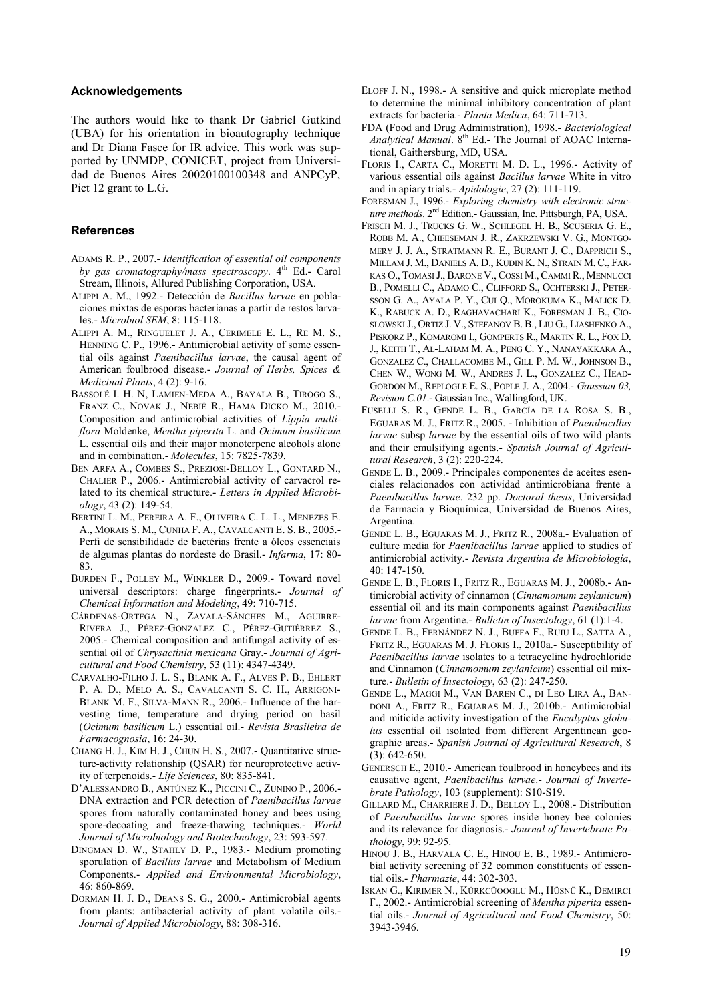## **Acknowledgements**

The authors would like to thank Dr Gabriel Gutkind (UBA) for his orientation in bioautography technique and Dr Diana Fasce for IR advice. This work was supported by UNMDP, CONICET, project from Universidad de Buenos Aires 20020100100348 and ANPCyP, Pict 12 grant to L.G.

# **References**

- ADAMS R. P., 2007.- *Identification of essential oil components by gas cromatography/mass spectroscopy*. 4<sup>th</sup> Ed.- Carol Stream, Illinois, Allured Publishing Corporation, USA.
- ALIPPI A. M., 1992.- Detección de *Bacillus larvae* en poblaciones mixtas de esporas bacterianas a partir de restos larvales.- *Microbiol SEM*, 8: 115-118.
- ALIPPI A. M., RINGUELET J. A., CERIMELE E. L., RE M. S., HENNING C. P., 1996.- Antimicrobial activity of some essential oils against *Paenibacillus larvae*, the causal agent of American foulbrood disease.- *Journal of Herbs, Spices & Medicinal Plants*, 4 (2): 9-16.
- BASSOLÉ I. H. N, LAMIEN-MEDA A., BAYALA B., TIROGO S., FRANZ C., NOVAK J., NEBIÉ R., HAMA DICKO M., 2010.- Composition and antimicrobial activities of *Lippia multiflora* Moldenke, *Mentha piperita* L. and *Ocimum basilicum* L. essential oils and their major monoterpene alcohols alone and in combination.- *Molecules*, 15: 7825-7839.
- BEN ARFA A., COMBES S., PREZIOSI-BELLOY L., GONTARD N., CHALIER P., 2006.- Antimicrobial activity of carvacrol related to its chemical structure.- *Letters in Applied Microbiology*, 43 (2): 149-54.
- BERTINI L. M., PEREIRA A. F., OLIVEIRA C. L. L., MENEZES E. A., MORAIS S. M., CUNHA F. A., CAVALCANTI E. S. B., 2005.- Perfi de sensibilidade de bactérias frente a óleos essenciais de algumas plantas do nordeste do Brasil.- *Infarma*, 17: 80- 83.
- BURDEN F., POLLEY M., WINKLER D., 2009.- Toward novel universal descriptors: charge fingerprints.- *Journal of Chemical Information and Modeling*, 49: 710-715.
- CÁRDENAS-ORTEGA N., ZAVALA-SÁNCHES M., AGUIRRE-RIVERA J., PÉREZ-GONZALEZ C., PÉREZ-GUTIÉRREZ S., 2005.- Chemical composition and antifungal activity of essential oil of *Chrysactinia mexicana* Gray.- *Journal of Agricultural and Food Chemistry*, 53 (11): 4347-4349.
- CARVALHO-FILHO J. L. S., BLANK A. F., ALVES P. B., EHLERT P. A. D., MELO A. S., CAVALCANTI S. C. H., ARRIGONI-BLANK M. F., SILVA-MANN R., 2006.- Influence of the harvesting time, temperature and drying period on basil (*Ocimum basilicum* L.) essential oil.- *Revista Brasileira de Farmacognosia*, 16: 24-30.
- CHANG H. J., KIM H. J., CHUN H. S., 2007.- Quantitative structure-activity relationship (QSAR) for neuroprotective activity of terpenoids.- *Life Sciences*, 80: 835-841.
- D'ALESSANDRO B., ANTÚNEZ K., PICCINI C., ZUNINO P., 2006.- DNA extraction and PCR detection of *Paenibacillus larvae* spores from naturally contaminated honey and bees using spore-decoating and freeze-thawing techniques.- *World Journal of Microbiology and Biotechnology*, 23: 593-597.
- DINGMAN D. W., STAHLY D. P., 1983.- Medium promoting sporulation of *Bacillus larvae* and Metabolism of Medium Components.- *Applied and Environmental Microbiology*, 46: 860-869.
- DORMAN H. J. D., DEANS S. G., 2000.- Antimicrobial agents from plants: antibacterial activity of plant volatile oils.- *Journal of Applied Microbiology*, 88: 308-316.
- ELOFF J. N., 1998.- A sensitive and quick microplate method to determine the minimal inhibitory concentration of plant extracts for bacteria.- *Planta Medica*, 64: 711-713.
- FDA (Food and Drug Administration), 1998.- *Bacteriological Analytical Manual*. 8th Ed.- The Journal of AOAC International, Gaithersburg, MD, USA.
- FLORIS I., CARTA C., MORETTI M. D. L., 1996.- Activity of various essential oils against *Bacillus larvae* White in vitro and in apiary trials.- *Apidologie*, 27 (2): 111-119.
- FORESMAN J., 1996.- *Exploring chemistry with electronic structure methods*. 2nd Edition.- Gaussian, Inc. Pittsburgh, PA, USA.
- FRISCH M. J., TRUCKS G. W., SCHLEGEL H. B., SCUSERIA G. E., ROBB M. A., CHEESEMAN J. R., ZAKRZEWSKI V. G., MONTGO-MERY J. J. A., STRATMANN R. E., BURANT J. C., DAPPRICH S., MILLAM J. M., DANIELS A. D., KUDIN K. N., STRAIN M. C., FAR-KAS O., TOMASI J., BARONE V., COSSI M., CAMMI R., MENNUCCI B., POMELLI C., ADAMO C., CLIFFORD S., OCHTERSKI J., PETER-SSON G. A., AYALA P. Y., CUI Q., MOROKUMA K., MALICK D. K., RABUCK A. D., RAGHAVACHARI K., FORESMAN J. B., CIO-SLOWSKI J., ORTIZ J. V., STEFANOV B. B., LIU G., LIASHENKO A., PISKORZ P., KOMAROMI I., GOMPERTS R., MARTIN R. L., FOX D. J., KEITH T., AL-LAHAM M. A., PENG C. Y., NANAYAKKARA A., GONZALEZ C., CHALLACOMBE M., GILL P. M. W., JOHNSON B., CHEN W., WONG M. W., ANDRES J. L., GONZALEZ C., HEAD-GORDON M., REPLOGLE E. S., POPLE J. A., 2004.- *Gaussian 03, Revision C.01*.- Gaussian Inc., Wallingford, UK.
- FUSELLI S. R., GENDE L. B., GARCÍA DE LA ROSA S. B., EGUARAS M. J., FRITZ R., 2005. - Inhibition of *Paenibacillus larvae* subsp *larvae* by the essential oils of two wild plants and their emulsifying agents.- *Spanish Journal of Agricultural Research*, 3 (2): 220-224.
- GENDE L. B., 2009.- Principales componentes de aceites esenciales relacionados con actividad antimicrobiana frente a *Paenibacillus larvae*. 232 pp. *Doctoral thesis*, Universidad de Farmacia y Bioquímica, Universidad de Buenos Aires, Argentina.
- GENDE L. B., EGUARAS M. J., FRITZ R., 2008a.- Evaluation of culture media for *Paenibacillus larvae* applied to studies of antimicrobial activity.- *Revista Argentina de Microbiología*, 40: 147-150.
- GENDE L. B., FLORIS I., FRITZ R., EGUARAS M. J., 2008b.- Antimicrobial activity of cinnamon (*Cinnamomum zeylanicum*) essential oil and its main components against *Paenibacillus larvae* from Argentine.- *Bulletin of Insectology*, 61 (1):1-4.
- GENDE L. B., FERNÁNDEZ N. J., BUFFA F., RUIU L., SATTA A., FRITZ R., EGUARAS M. J. FLORIS I., 2010a.- Susceptibility of *Paenibacillus larvae* isolates to a tetracycline hydrochloride and Cinnamon (*Cinnamomum zeylanicum*) essential oil mixture.- *Bulletin of Insectology*, 63 (2): 247-250.
- GENDE L., MAGGI M., VAN BAREN C., DI LEO LIRA A., BAN-DONI A., FRITZ R., EGUARAS M. J., 2010b.- Antimicrobial and miticide activity investigation of the *Eucalyptus globulus* essential oil isolated from different Argentinean geographic areas.- *Spanish Journal of Agricultural Research*, 8 (3): 642-650.
- GENERSCH E., 2010.- American foulbrood in honeybees and its causative agent, *Paenibacillus larvae*.- *Journal of Invertebrate Pathology*, 103 (supplement): S10-S19.
- GILLARD M., CHARRIERE J. D., BELLOY L., 2008.- Distribution of *Paenibacillus larvae* spores inside honey bee colonies and its relevance for diagnosis.- *Journal of Invertebrate Pathology*, 99: 92-95.
- HINOU J. B., HARVALA C. E., HINOU E. B., 1989.- Antimicrobial activity screening of 32 common constituents of essential oils.- *Pharmazie*, 44: 302-303.
- ISKAN G., KIRIMER N., KÜRKCÜOOGLU M., HÜSNÜ K., DEMIRCI F., 2002.- Antimicrobial screening of *Mentha piperita* essential oils.- *Journal of Agricultural and Food Chemistry*, 50: 3943-3946.